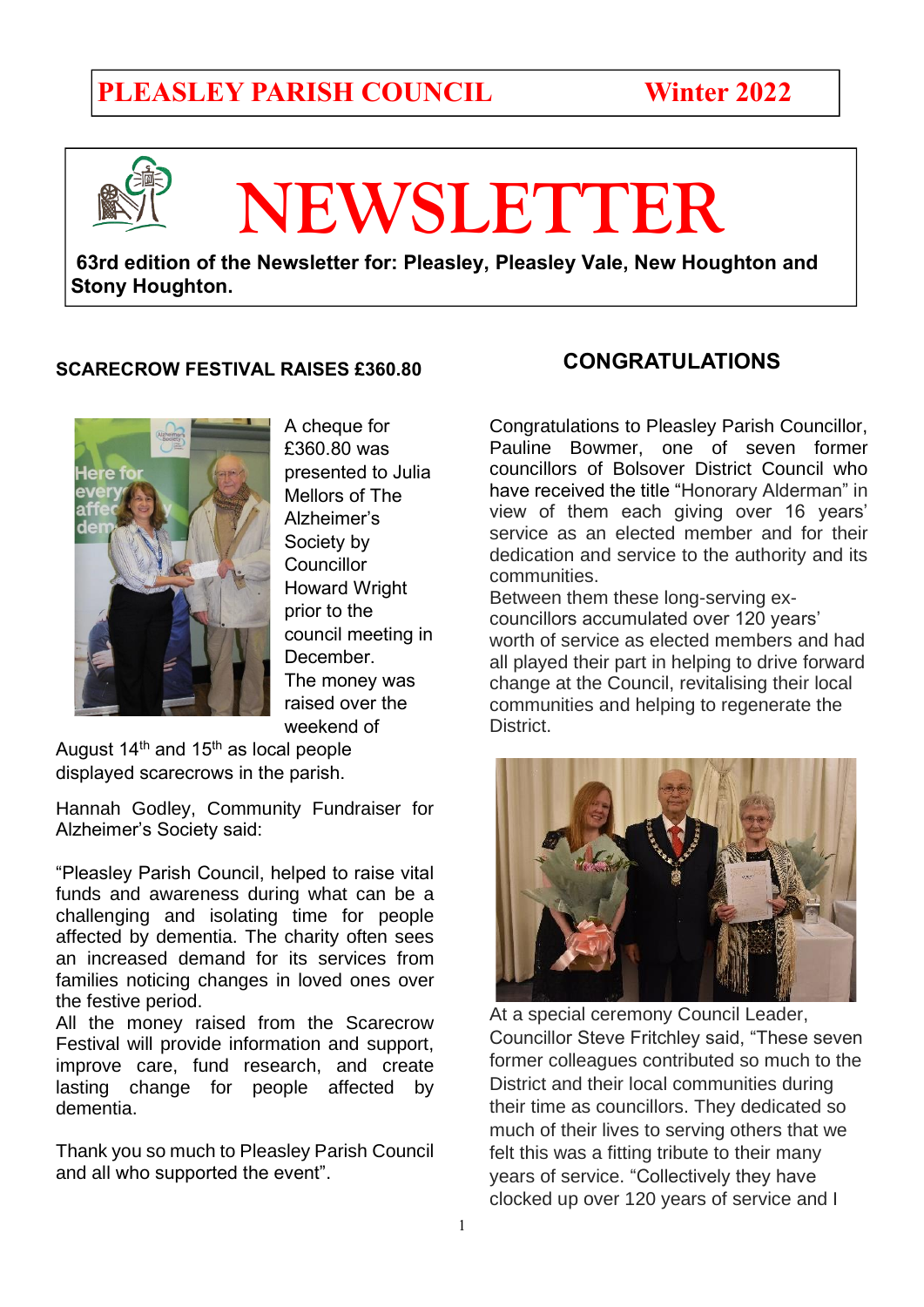### **PLEASLEY PARISH COUNCIL Winter 2022**



# **NEWSLETTER**

**63rd edition of the Newsletter for: Pleasley, Pleasley Vale, New Houghton and Stony Houghton.** 

#### **SCARECROW FESTIVAL RAISES £360.80**



A cheque for £360.80 was presented to Julia Mellors of The Alzheimer's Society by **Councillor** Howard Wright prior to the council meeting in December. The money was raised over the weekend of

August  $14<sup>th</sup>$  and  $15<sup>th</sup>$  as local people displayed scarecrows in the parish.

Hannah Godley, Community Fundraiser for Alzheimer's Society said:

"Pleasley Parish Council, helped to raise vital funds and awareness during what can be a challenging and isolating time for people affected by dementia. The charity often sees an increased demand for its services from families noticing changes in loved ones over the festive period.

All the money raised from the Scarecrow Festival will provide information and support, improve care, fund research, and create lasting change for people affected by dementia.

Thank you so much to Pleasley Parish Council and all who supported the event".

#### **CONGRATULATIONS**

Congratulations to Pleasley Parish Councillor, Pauline Bowmer, one of seven former councillors of Bolsover District Council who have received the title "Honorary Alderman" in view of them each giving over 16 years' service as an elected member and for their dedication and service to the authority and its communities.

Between them these long-serving excouncillors accumulated over 120 years' worth of service as elected members and had all played their part in helping to drive forward change at the Council, revitalising their local communities and helping to regenerate the District.



At a special ceremony Council Leader, Councillor Steve Fritchley said, "These seven former colleagues contributed so much to the District and their local communities during their time as councillors. They dedicated so much of their lives to serving others that we felt this was a fitting tribute to their many years of service. "Collectively they have clocked up over 120 years of service and I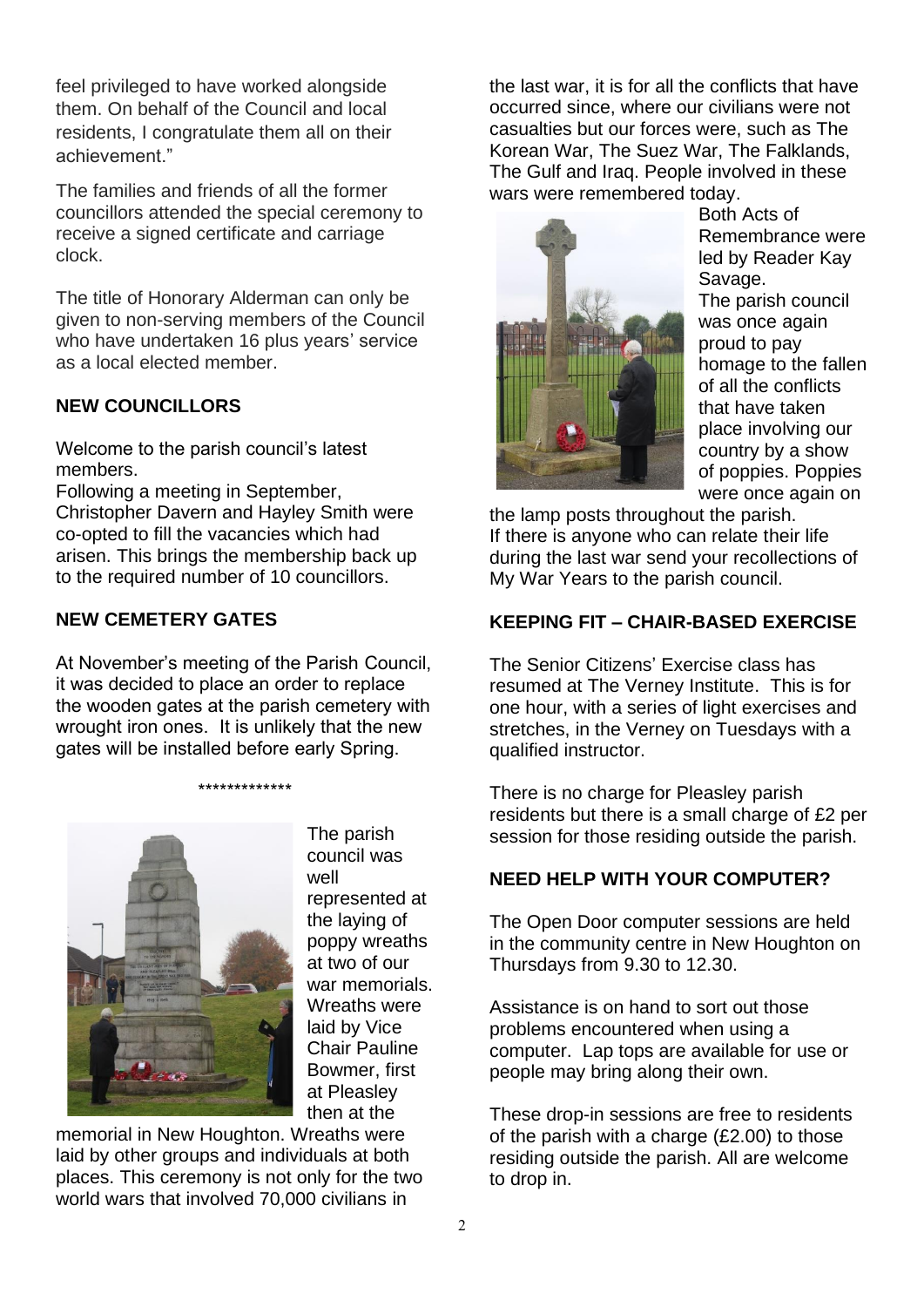feel privileged to have worked alongside them. On behalf of the Council and local residents, I congratulate them all on their achievement"

The families and friends of all the former councillors attended the special ceremony to receive a signed certificate and carriage clock.

The title of Honorary Alderman can only be given to non-serving members of the Council who have undertaken 16 plus years' service as a local elected member.

#### **NEW COUNCILLORS**

Welcome to the parish council's latest members.

Following a meeting in September, Christopher Davern and Hayley Smith were co-opted to fill the vacancies which had arisen. This brings the membership back up to the required number of 10 councillors.

#### **NEW CEMETERY GATES**

At November's meeting of the Parish Council, it was decided to place an order to replace the wooden gates at the parish cemetery with wrought iron ones. It is unlikely that the new gates will be installed before early Spring.

#### \*\*\*\*\*\*\*\*\*\*\*\*\*



The parish council was well represented at the laying of poppy wreaths at two of our war memorials. Wreaths were laid by Vice Chair Pauline Bowmer, first at Pleasley then at the

memorial in New Houghton. Wreaths were laid by other groups and individuals at both places. This ceremony is not only for the two world wars that involved 70,000 civilians in

the last war, it is for all the conflicts that have occurred since, where our civilians were not casualties but our forces were, such as The Korean War, The Suez War, The Falklands, The Gulf and Iraq. People involved in these wars were remembered today.



Both Acts of Remembrance were led by Reader Kay Savage. The parish council was once again proud to pay homage to the fallen of all the conflicts that have taken place involving our country by a show of poppies. Poppies were once again on

the lamp posts throughout the parish. If there is anyone who can relate their life during the last war send your recollections of My War Years to the parish council.

#### **KEEPING FIT – CHAIR-BASED EXERCISE**

The Senior Citizens' Exercise class has resumed at The Verney Institute. This is for one hour, with a series of light exercises and stretches, in the Verney on Tuesdays with a qualified instructor.

There is no charge for Pleasley parish residents but there is a small charge of £2 per session for those residing outside the parish.

#### **NEED HELP WITH YOUR COMPUTER?**

The Open Door computer sessions are held in the community centre in New Houghton on Thursdays from 9.30 to 12.30.

Assistance is on hand to sort out those problems encountered when using a computer. Lap tops are available for use or people may bring along their own.

These drop-in sessions are free to residents of the parish with a charge (£2.00) to those residing outside the parish. All are welcome to drop in.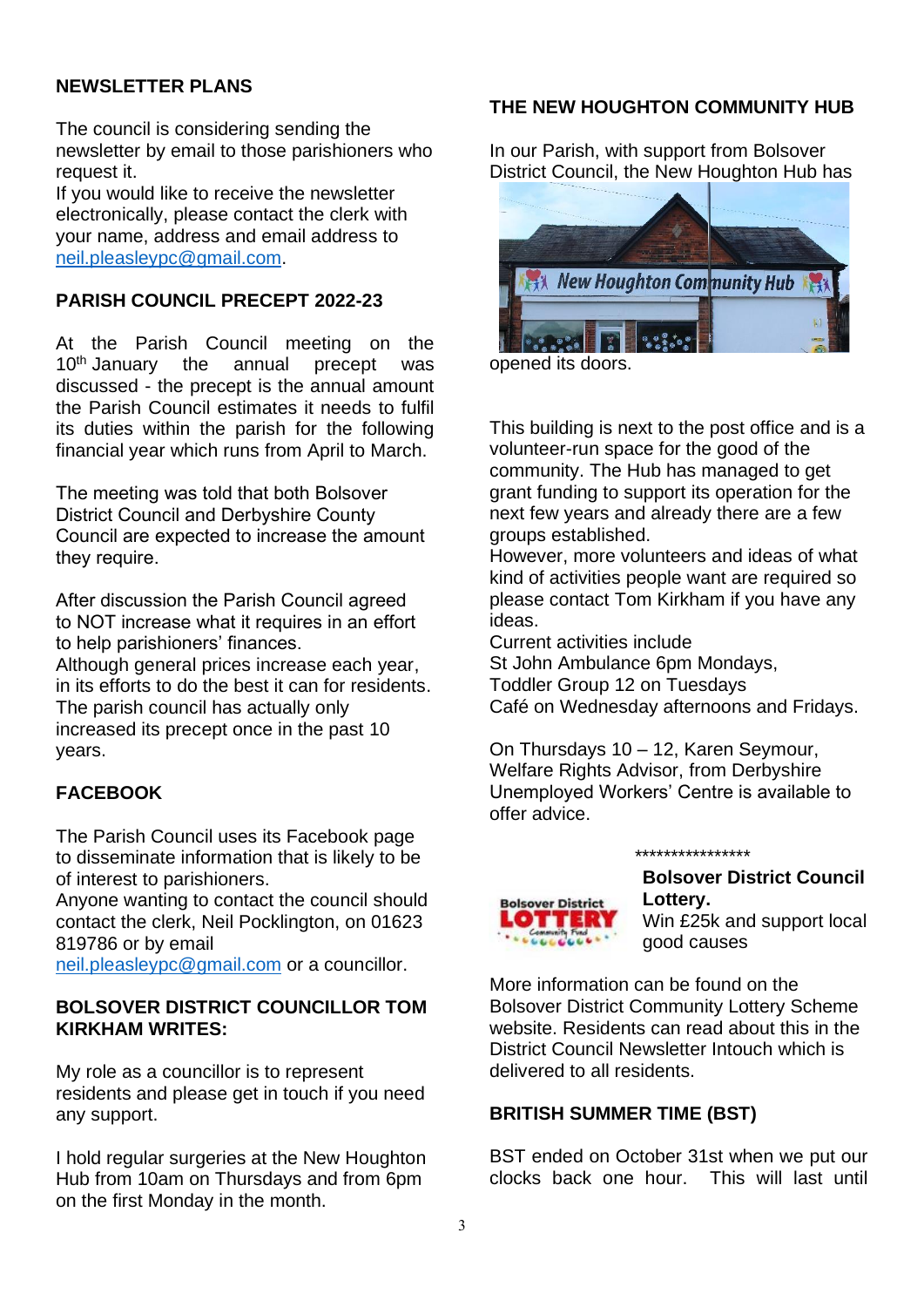#### **NEWSLETTER PLANS**

The council is considering sending the newsletter by email to those parishioners who request it.

If you would like to receive the newsletter electronically, please contact the clerk with your name, address and email address to neil.pleasleypc@gmail.com.

#### **PARISH COUNCIL PRECEPT 2022-23**

At the Parish Council meeting on the 10<sup>th</sup> January the annual precept was discussed - the precept is the annual amount the Parish Council estimates it needs to fulfil its duties within the parish for the following financial year which runs from April to March.

The meeting was told that both Bolsover District Council and Derbyshire County Council are expected to increase the amount they require.

After discussion the Parish Council agreed to NOT increase what it requires in an effort to help parishioners' finances. Although general prices increase each year, in its efforts to do the best it can for residents. The parish council has actually only increased its precept once in the past 10 years.

#### **FACEBOOK**

The Parish Council uses its Facebook page to disseminate information that is likely to be of interest to parishioners.

Anyone wanting to contact the council should contact the clerk, Neil Pocklington, on 01623 819786 or by email

neil.pleasleypc@gmail.com or a councillor.

#### **BOLSOVER DISTRICT COUNCILLOR TOM KIRKHAM WRITES:**

My role as a councillor is to represent residents and please get in touch if you need any support.

I hold regular surgeries at the New Houghton Hub from 10am on Thursdays and from 6pm on the first Monday in the month.

#### **THE NEW HOUGHTON COMMUNITY HUB**

In our Parish, with support from Bolsover District Council, the New Houghton Hub has



opened its doors.

This building is next to the post office and is a volunteer-run space for the good of the community. The Hub has managed to get grant funding to support its operation for the next few years and already there are a few groups established.

However, more volunteers and ideas of what kind of activities people want are required so please contact Tom Kirkham if you have any ideas.

Current activities include St John Ambulance 6pm Mondays, Toddler Group 12 on Tuesdays Café on Wednesday afternoons and Fridays.

On Thursdays 10 – 12, Karen Seymour, Welfare Rights Advisor, from Derbyshire Unemployed Workers' Centre is available to offer advice.

\*\*\*\*\*\*\*\*\*\*\*\*\*\*\*\*



**Bolsover District Council Lottery.** 

Win £25k and support local good causes

More information can be found on the Bolsover District Community Lottery Scheme website. Residents can read about this in the District Council Newsletter Intouch which is delivered to all residents.

#### **BRITISH SUMMER TIME (BST)**

BST ended on October 31st when we put our clocks back one hour. This will last until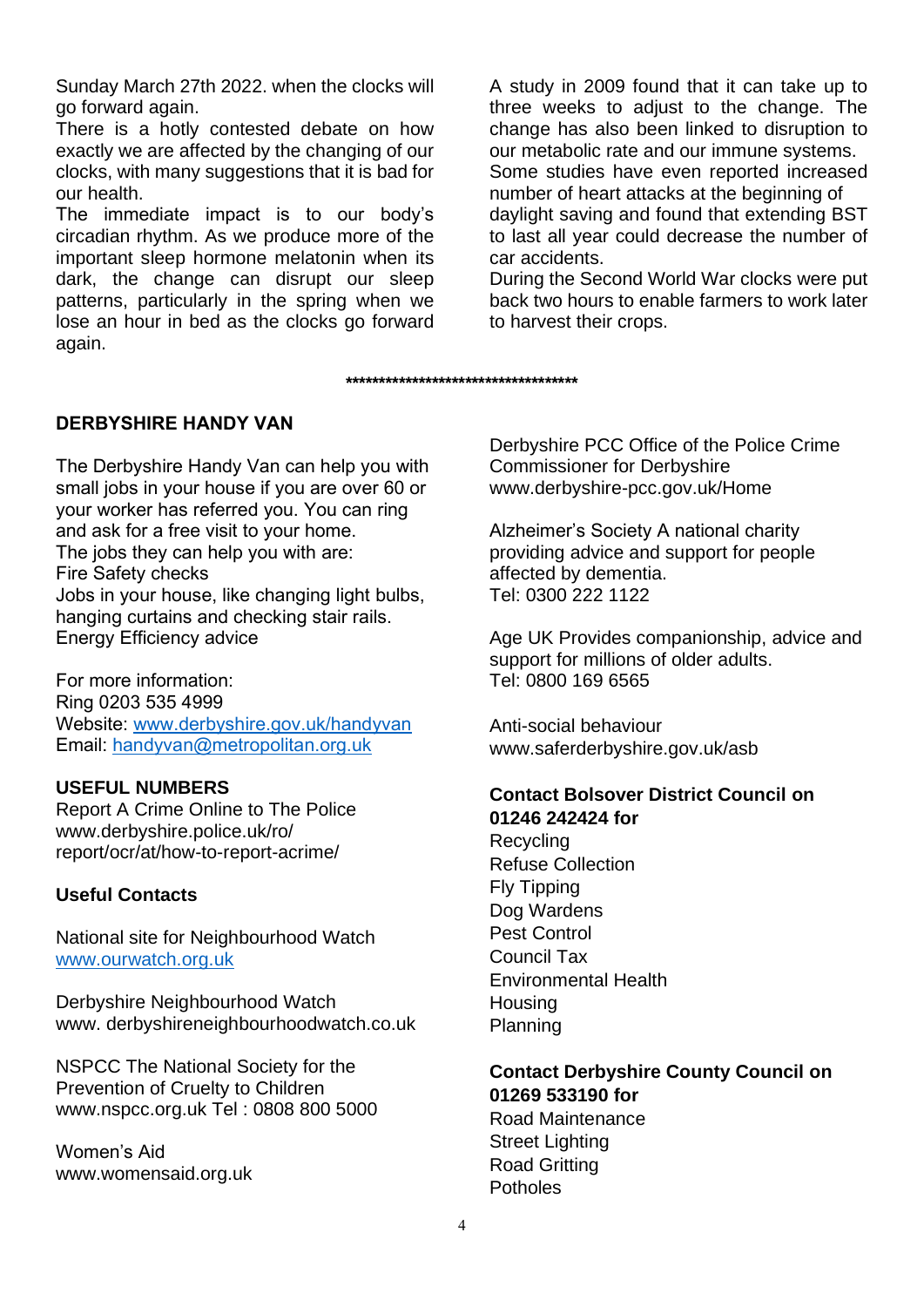Sunday March 27th 2022. when the clocks will go forward again.

There is a hotly contested debate on how exactly we are affected by the changing of our clocks, with many suggestions that it is bad for our health.

The immediate impact is to our body's circadian rhythm. As we produce more of the important sleep hormone melatonin when its dark, the change can disrupt our sleep patterns, particularly in the spring when we lose an hour in bed as the clocks go forward again.

A study in 2009 found that it can take up to three weeks to adjust to the change. The change has also been linked to disruption to our metabolic rate and our immune systems. Some studies have even reported increased number of heart attacks at the beginning of daylight saving and found that extending BST to last all year could decrease the number of car accidents.

During the Second World War clocks were put back two hours to enable farmers to work later to harvest their crops.

**DERBYSHIRE HANDY VAN** 

The Derbyshire Handy Van can help you with small jobs in your house if you are over 60 or your worker has referred you. You can ring and ask for a free visit to your home. The jobs they can help you with are: Fire Safety checks Jobs in your house, like changing light bulbs, hanging curtains and checking stair rails. Energy Efficiency advice

For more information: Ring 0203 535 4999 Website: www.derbyshire.gov.uk/handyvan Email: handyvan@metropolitan.org.uk

#### **USEFUL NUMBERS**

Report A Crime Online to The Police www.derbyshire.police.uk/ro/ report/ocr/at/how-to-report-acrime/

#### **Useful Contacts**

National site for Neighbourhood Watch www.ourwatch.org.uk

Derbyshire Neighbourhood Watch www. derbyshireneighbourhoodwatch.co.uk

NSPCC The National Society for the Prevention of Cruelty to Children www.nspcc.org.uk Tel : 0808 800 5000

Women's Aid www.womensaid.org.uk Derbyshire PCC Office of the Police Crime Commissioner for Derbyshire www.derbyshire-pcc.gov.uk/Home

Alzheimer's Society A national charity providing advice and support for people affected by dementia. Tel: 0300 222 1122

Age UK Provides companionship, advice and support for millions of older adults. Tel: 0800 169 6565

Anti-social behaviour www.saferderbyshire.gov.uk/asb

#### **Contact Bolsover District Council on 01246 242424 for**

**Recycling** Refuse Collection Fly Tipping Dog Wardens Pest Control Council Tax Environmental Health **Housing** Planning

**Contact Derbyshire County Council on 01269 533190 for** Road Maintenance

Street Lighting Road Gritting Potholes

**\*\*\*\*\*\*\*\*\*\*\*\*\*\*\*\*\*\*\*\*\*\*\*\*\*\*\*\*\*\*\*\*\*\*\***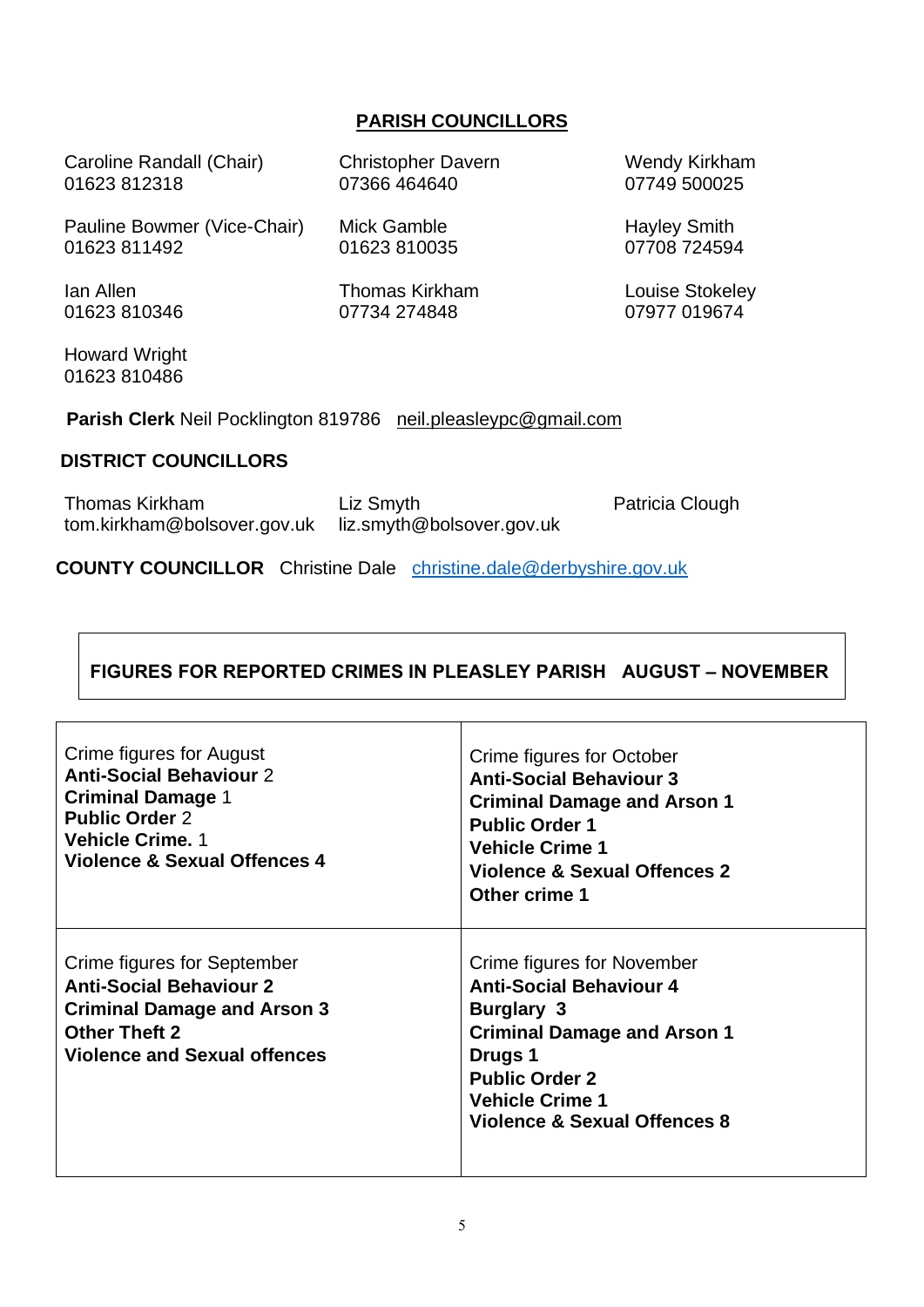#### **PARISH COUNCILLORS**

| Caroline Randall (Chair)<br>01623812318                                  | <b>Christopher Davern</b><br>07366 464640 | <b>Wendy Kirkham</b><br>07749 500025 |  |  |  |
|--------------------------------------------------------------------------|-------------------------------------------|--------------------------------------|--|--|--|
| Pauline Bowmer (Vice-Chair)<br>01623 811492                              | Mick Gamble<br>01623 810035               | <b>Hayley Smith</b><br>07708 724594  |  |  |  |
| Jan Allen<br>01623810346                                                 | Thomas Kirkham<br>07734 274848            | Louise Stokeley<br>07977 019674      |  |  |  |
| <b>Howard Wright</b><br>01623 810486                                     |                                           |                                      |  |  |  |
| <b>Parish Clerk Neil Pocklington 819786</b><br>neil.pleasleypc@gmail.com |                                           |                                      |  |  |  |
| <b>DISTRICT COUNCILLORS</b>                                              |                                           |                                      |  |  |  |
|                                                                          |                                           |                                      |  |  |  |

Thomas Kirkham tom.kirkham@bolsover.gov.uk liz.smyth@bolsover.gov.uk Liz Smyth Patricia Clough

**COUNTY COUNCILLOR** Christine Dalechristine.dale@derbyshire.gov.uk

 $\Gamma$ 

#### **FIGURES FOR REPORTED CRIMES IN PLEASLEY PARISH AUGUST – NOVEMBER**

 $\top$ 

| Crime figures for August<br><b>Anti-Social Behaviour 2</b><br><b>Criminal Damage 1</b><br><b>Public Order 2</b><br><b>Vehicle Crime. 1</b><br>Violence & Sexual Offences 4 | Crime figures for October<br><b>Anti-Social Behaviour 3</b><br><b>Criminal Damage and Arson 1</b><br><b>Public Order 1</b><br><b>Vehicle Crime 1</b><br>Violence & Sexual Offences 2<br>Other crime 1                 |
|----------------------------------------------------------------------------------------------------------------------------------------------------------------------------|-----------------------------------------------------------------------------------------------------------------------------------------------------------------------------------------------------------------------|
| Crime figures for September<br><b>Anti-Social Behaviour 2</b><br><b>Criminal Damage and Arson 3</b><br><b>Other Theft 2</b><br><b>Violence and Sexual offences</b>         | Crime figures for November<br><b>Anti-Social Behaviour 4</b><br><b>Burglary 3</b><br><b>Criminal Damage and Arson 1</b><br>Drugs 1<br><b>Public Order 2</b><br><b>Vehicle Crime 1</b><br>Violence & Sexual Offences 8 |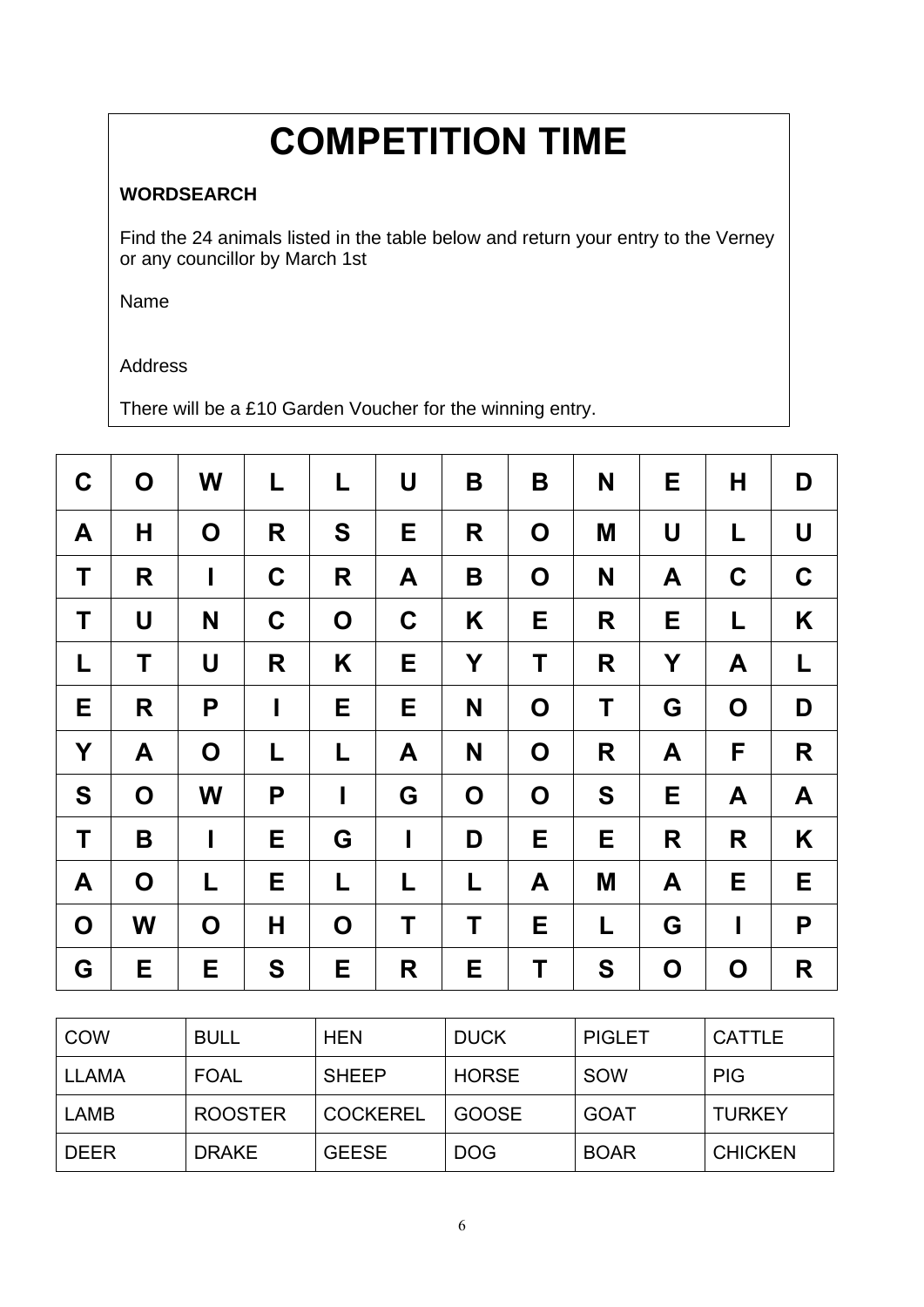# **COMPETITION TIME**

#### **WORDSEARCH**

Find the 24 animals listed in the table below and return your entry to the Verney or any councillor by March 1st

Name

#### Address

There will be a £10 Garden Voucher for the winning entry.

| $\mathbf C$ | O | W           | L           | L           | U            | B           | B           | N  | Е           | Н           | D           |
|-------------|---|-------------|-------------|-------------|--------------|-------------|-------------|----|-------------|-------------|-------------|
| A           | Н | $\mathbf O$ | R           | S           | Е            | R           | O           | M  | U           | L           | U           |
| T           | R | I           | C           | R           | A            | B           | $\mathbf O$ | N  | A           | $\mathbf C$ | $\mathbf C$ |
| Τ           | U | N           | $\mathbf C$ | $\mathbf O$ | $\mathbf C$  | K           | Е           | R  | Е           | L           | K           |
| L           | T | U           | R           | Κ           | Е            | Y           | Τ           | R  | Y           | A           | L           |
| Е           | R | P           | I           | Е           | E            | N           | O           | T  | G           | $\mathbf O$ | D           |
| Y           | A | O           | L           | L           | A            | N           | O           | R  | A           | F           | R           |
| S           | O | W           | P           | I           | G            | $\mathbf O$ | O           | S  | Е           | A           | A           |
| Τ           | B | I           | E           | G           | $\mathsf{l}$ | D           | Е           | E  | R           | R           | K           |
| A           | O | L           | Е           | L           | L            | L           | A           | M  | A           | Е           | Е           |
| $\mathbf 0$ | W | O           | Н           | O           | Τ            | Τ           | Е           | L. | G           | $\mathbf I$ | P           |
| G           | Е | Е           | S           | Е           | R            | Е           | Τ           | S  | $\mathbf O$ | $\mathbf O$ | R           |

| <b>COW</b>   | <b>BULL</b>    | <b>HEN</b>      | <b>DUCK</b>  | <b>PIGLET</b> | <b>CATTLE</b>  |
|--------------|----------------|-----------------|--------------|---------------|----------------|
| <b>LLAMA</b> | <b>FOAL</b>    | <b>SHEEP</b>    | <b>HORSE</b> | SOW           | <b>PIG</b>     |
| LAMB         | <b>ROOSTER</b> | <b>COCKEREL</b> | <b>GOOSE</b> | <b>GOAT</b>   | <b>TURKEY</b>  |
| <b>DEER</b>  | <b>DRAKE</b>   | <b>GEESE</b>    | <b>DOG</b>   | <b>BOAR</b>   | <b>CHICKEN</b> |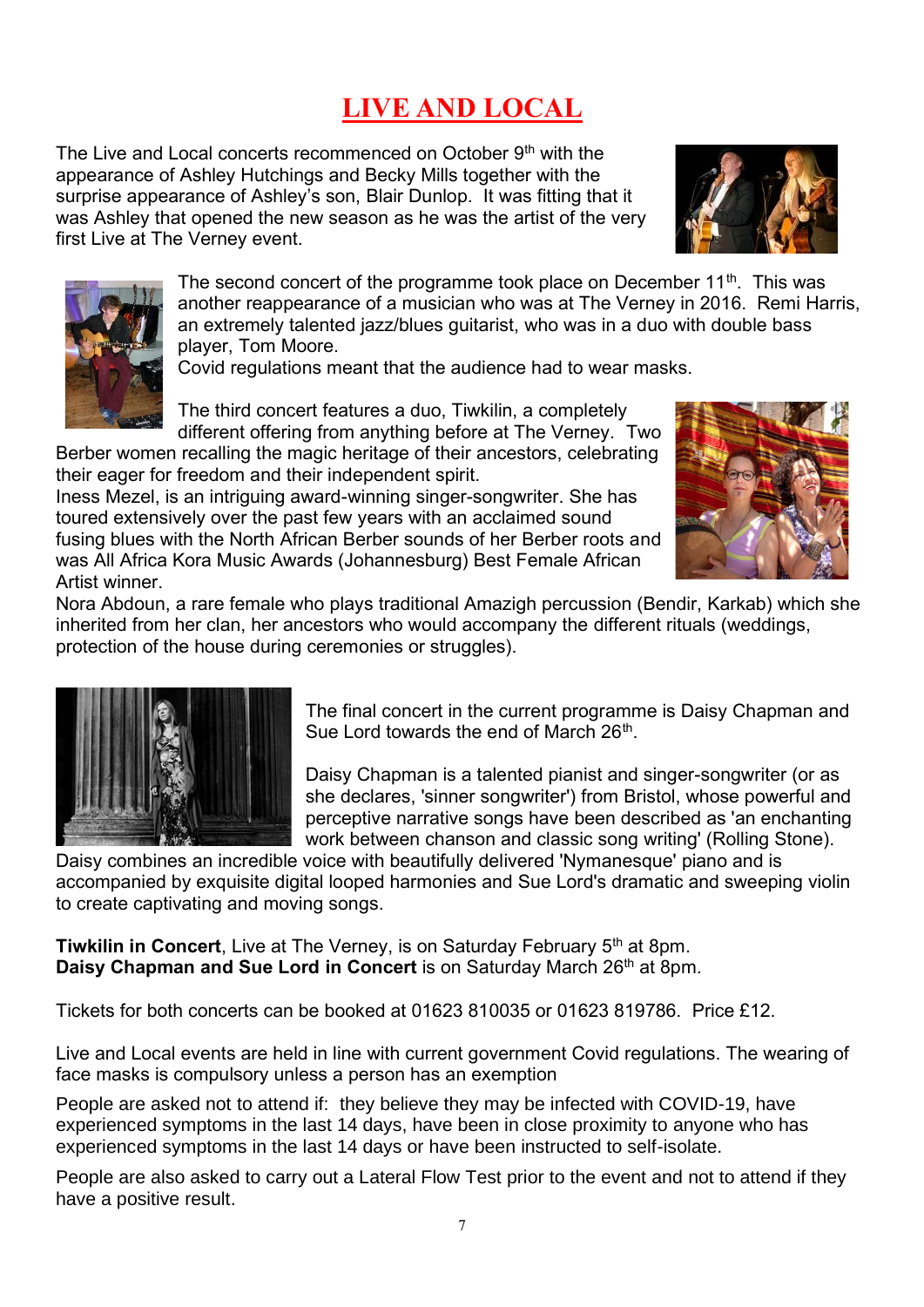## **LIVE AND LOCAL**

The Live and Local concerts recommenced on October 9<sup>th</sup> with the appearance of Ashley Hutchings and Becky Mills together with the surprise appearance of Ashley's son, Blair Dunlop. It was fitting that it was Ashley that opened the new season as he was the artist of the very first Live at The Verney event.





The second concert of the programme took place on December  $11<sup>th</sup>$ . This was another reappearance of a musician who was at The Verney in 2016. Remi Harris, an extremely talented jazz/blues guitarist, who was in a duo with double bass player, Tom Moore.

Covid regulations meant that the audience had to wear masks.

The third concert features a duo, Tiwkilin, a completely different offering from anything before at The Verney. Two

Berber women recalling the magic heritage of their ancestors, celebrating their eager for freedom and their independent spirit.

Iness Mezel, is an intriguing award-winning singer-songwriter. She has toured extensively over the past few years with an acclaimed sound fusing blues with the North African Berber sounds of her Berber roots and was All Africa Kora Music Awards (Johannesburg) Best Female African Artist winner.



Nora Abdoun, a rare female who plays traditional Amazigh percussion (Bendir, Karkab) which she inherited from her clan, her ancestors who would accompany the different rituals (weddings, protection of the house during ceremonies or struggles).



The final concert in the current programme is Daisy Chapman and Sue Lord towards the end of March 26<sup>th</sup>.

Daisy Chapman is a talented pianist and singer-songwriter (or as she declares, 'sinner songwriter') from Bristol, whose powerful and perceptive narrative songs have been described as 'an enchanting work between chanson and classic song writing' (Rolling Stone).

Daisy combines an incredible voice with beautifully delivered 'Nymanesque' piano and is accompanied by exquisite digital looped harmonies and Sue Lord's dramatic and sweeping violin to create captivating and moving songs.

**Tiwkilin in Concert**, Live at The Verney, is on Saturday February 5<sup>th</sup> at 8pm. **Daisy Chapman and Sue Lord in Concert** is on Saturday March 26<sup>th</sup> at 8pm.

Tickets for both concerts can be booked at 01623 810035 or 01623 819786. Price £12.

Live and Local events are held in line with current government Covid regulations. The wearing of face masks is compulsory unless a person has an exemption

People are asked not to attend if: they believe they may be infected with COVID-19, have experienced symptoms in the last 14 days, have been in close proximity to anyone who has experienced symptoms in the last 14 days or have been instructed to self-isolate.

People are also asked to carry out a Lateral Flow Test prior to the event and not to attend if they have a positive result.